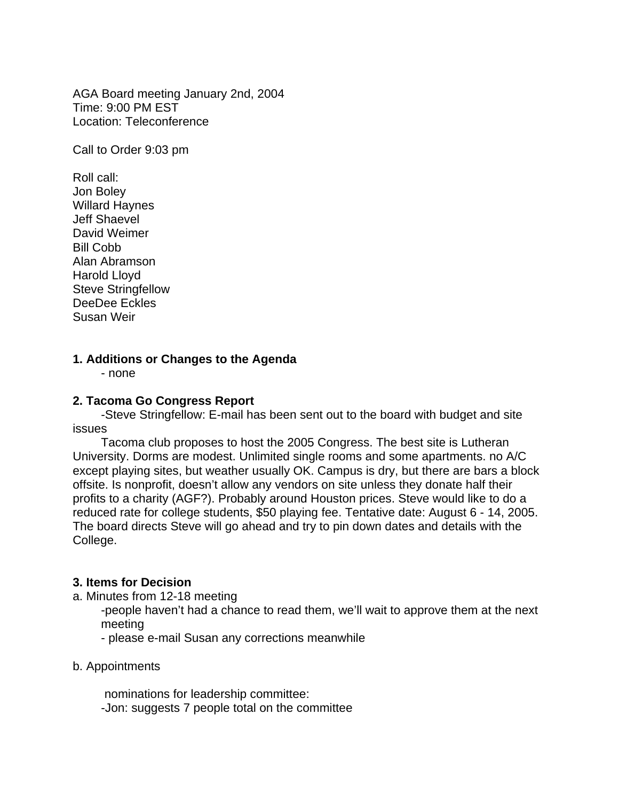AGA Board meeting January 2nd, 2004 Time: 9:00 PM EST Location: Teleconference

Call to Order 9:03 pm

Roll call: Jon Boley Willard Haynes Jeff Shaevel David Weimer Bill Cobb Alan Abramson Harold Lloyd Steve Stringfellow DeeDee Eckles Susan Weir

## **1. Additions or Changes to the Agenda**

- none

### **2. Tacoma Go Congress Report**

-Steve Stringfellow: E-mail has been sent out to the board with budget and site issues

Tacoma club proposes to host the 2005 Congress. The best site is Lutheran University. Dorms are modest. Unlimited single rooms and some apartments. no A/C except playing sites, but weather usually OK. Campus is dry, but there are bars a block offsite. Is nonprofit, doesn't allow any vendors on site unless they donate half their profits to a charity (AGF?). Probably around Houston prices. Steve would like to do a reduced rate for college students, \$50 playing fee. Tentative date: August 6 - 14, 2005. The board directs Steve will go ahead and try to pin down dates and details with the College.

### **3. Items for Decision**

a. Minutes from 12-18 meeting

-people haven't had a chance to read them, we'll wait to approve them at the next meeting

- please e-mail Susan any corrections meanwhile

#### b. Appointments

nominations for leadership committee:

-Jon: suggests 7 people total on the committee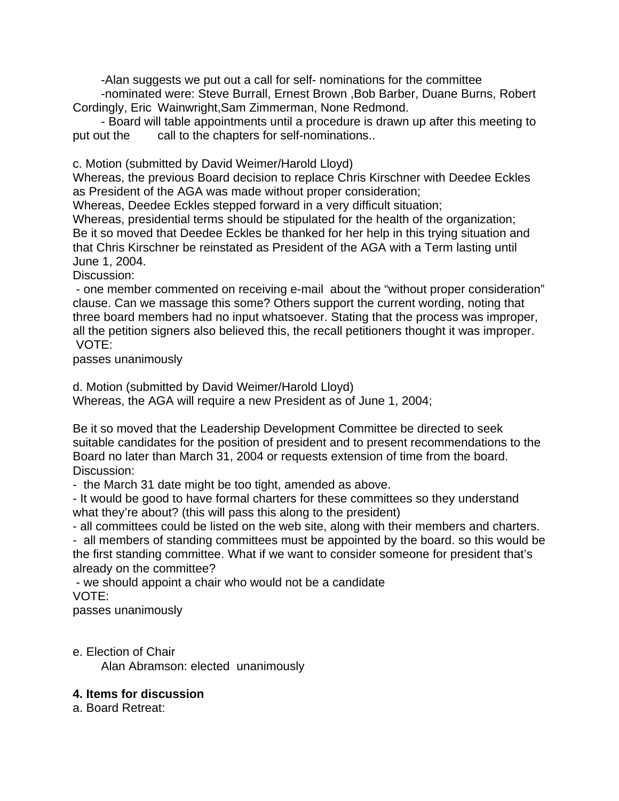-Alan suggests we put out a call for self- nominations for the committee

-nominated were: Steve Burrall, Ernest Brown ,Bob Barber, Duane Burns, Robert Cordingly, Eric Wainwright,Sam Zimmerman, None Redmond.

 - Board will table appointments until a procedure is drawn up after this meeting to put out the call to the chapters for self-nominations..

c. Motion (submitted by David Weimer/Harold Lloyd)

Whereas, the previous Board decision to replace Chris Kirschner with Deedee Eckles as President of the AGA was made without proper consideration;

Whereas, Deedee Eckles stepped forward in a very difficult situation;

Whereas, presidential terms should be stipulated for the health of the organization; Be it so moved that Deedee Eckles be thanked for her help in this trying situation and that Chris Kirschner be reinstated as President of the AGA with a Term lasting until June 1, 2004.

Discussion:

 - one member commented on receiving e-mail about the "without proper consideration" clause. Can we massage this some? Others support the current wording, noting that three board members had no input whatsoever. Stating that the process was improper, all the petition signers also believed this, the recall petitioners thought it was improper. VOTE:

passes unanimously

d. Motion (submitted by David Weimer/Harold Lloyd)

Whereas, the AGA will require a new President as of June 1, 2004;

Be it so moved that the Leadership Development Committee be directed to seek suitable candidates for the position of president and to present recommendations to the Board no later than March 31, 2004 or requests extension of time from the board. Discussion:

- the March 31 date might be too tight, amended as above.

- It would be good to have formal charters for these committees so they understand what they're about? (this will pass this along to the president)

- all committees could be listed on the web site, along with their members and charters.

- all members of standing committees must be appointed by the board. so this would be the first standing committee. What if we want to consider someone for president that's already on the committee?

 - we should appoint a chair who would not be a candidate VOTE:

passes unanimously

e. Election of Chair Alan Abramson: elected unanimously

# **4. Items for discussion**

a. Board Retreat: